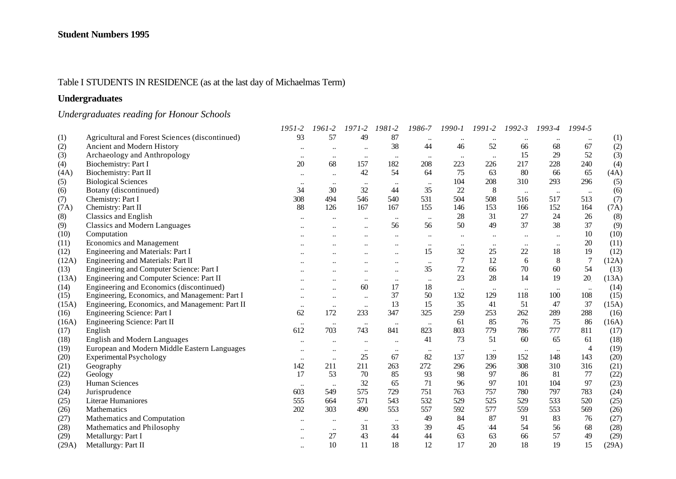## Table I STUDENTS IN RESIDENCE (as at the last day of Michaelmas Term)

## **Undergraduates**

# *Undergraduates reading for Honour Schools*

|       |                                                 | 1951-2    | 1961-2               | $1971 - 2$           | 1981-2       | 1986-7    | 1990-1    | 1991-2    | $1992 - 3$ | 1993-4    | 1994-5    |       |
|-------|-------------------------------------------------|-----------|----------------------|----------------------|--------------|-----------|-----------|-----------|------------|-----------|-----------|-------|
| (1)   | Agricultural and Forest Sciences (discontinued) | 93        | 57                   | 49                   | 87           |           |           |           |            |           |           | (1)   |
| (2)   | Ancient and Modern History                      | $\cdots$  |                      | $\ddot{\phantom{a}}$ | 38           | 44        | 46        | 52        | 66         | 68        | 67        | (2)   |
| (3)   | Archaeology and Anthropology                    | $\ddotsc$ | $\ddotsc$            | $\ldots$             | $\ddotsc$    | $\cdots$  | $\ldots$  | $\ddots$  | 15         | 29        | 52        | (3)   |
| (4)   | Biochemistry: Part I                            | 20        | 68                   | 157                  | 182          | 208       | 223       | 226       | 217        | 228       | 240       | (4)   |
| (4A)  | Biochemistry: Part II                           | $\ldots$  | $\ddotsc$            | 42                   | 54           | 64        | 75        | 63        | 80         | 66        | 65        | (4A)  |
| (5)   | <b>Biological Sciences</b>                      | $\ddotsc$ | $\ddotsc$            | $\cdots$             | $\ddotsc$    | $\ddotsc$ | 104       | 208       | 310        | 293       | 296       | (5)   |
| (6)   | Botany (discontinued)                           | 34        | 30                   | 32                   | 44           | 35        | 22        | 8         | $\ddotsc$  | $\ddotsc$ | $\ddots$  | (6)   |
| (7)   | Chemistry: Part I                               | 308       | 494                  | 546                  | 540          | 531       | 504       | 508       | 516        | 517       | 513       | (7)   |
| (7A)  | Chemistry: Part II                              | 88        | 126                  | 167                  | 167          | 155       | 146       | 153       | 166        | 152       | 164       | (7A)  |
| (8)   | Classics and English                            | $\ddotsc$ |                      | $\ddotsc$            | $\ddotsc$    | $\ddotsc$ | 28        | 31        | 27         | 24        | 26        | (8)   |
| (9)   | <b>Classics and Modern Languages</b>            |           |                      |                      | 56           | 56        | 50        | 49        | 37         | 38        | 37        | (9)   |
| (10)  | Computation                                     |           |                      |                      | $\ddotsc$    | $\ddotsc$ | $\ddotsc$ |           | $\ldots$   | $\ddotsc$ | 10        | (10)  |
| (11)  | Economics and Management                        |           |                      |                      |              | $\ddotsc$ | $\ddotsc$ |           |            | $\ddotsc$ | 20        | (11)  |
| (12)  | Engineering and Materials: Part I               |           |                      |                      | $\ddotsc$    | 15        | 32        | 25        | 22         | 18        | 19        | (12)  |
| (12A) | Engineering and Materials: Part II              |           |                      |                      | $\ddotsc$    | $\ldots$  | $\tau$    | 12        | 6          | 8         | $\tau$    | (12A) |
| (13)  | Engineering and Computer Science: Part I        |           |                      |                      | $\ddotsc$    | 35        | 72        | 66        | 70         | 60        | 54        | (13)  |
| (13A) | Engineering and Computer Science: Part II       |           | $\ddot{\phantom{a}}$ | $\ddotsc$            | $\ddotsc$    | $\ddotsc$ | 23        | 28        | 14         | 19        | 20        | (13A) |
| (14)  | Engineering and Economics (discontinued)        |           | $\ddotsc$            | 60                   | 17           | 18        | $\ddotsc$ | $\ddotsc$ | $\ddotsc$  | $\ddotsc$ | $\ddotsc$ | (14)  |
| (15)  | Engineering, Economics, and Management: Part I  | $\ddotsc$ | $\ddotsc$            | $\ddotsc$            | 37           | 50        | 132       | 129       | 118        | 100       | 108       | (15)  |
| (15A) | Engineering, Economics, and Management: Part II | $\ldots$  | $\ldots$             | $\ldots$             | 13           | 15        | 35        | 41        | 51         | 47        | 37        | (15A) |
| (16)  | Engineering Science: Part I                     | 62        | 172                  | 233                  | 347          | 325       | 259       | 253       | 262        | 289       | 288       | (16)  |
| (16A) | Engineering Science: Part II                    | $\ddotsc$ | $\ddotsc$            | $\ddotsc$            | $\ddotsc$    | $\ddotsc$ | 61        | 85        | 76         | 75        | 86        | (16A) |
| (17)  | English                                         | 612       | 703                  | 743                  | 841          | 823       | 803       | 779       | 786        | 777       | 811       | (17)  |
| (18)  | <b>English and Modern Languages</b>             | $\ddotsc$ | $\ddotsc$            | $\ddotsc$            | $\ddotsc$    | 41        | 73        | 51        | 60         | 65        | 61        | (18)  |
| (19)  | European and Modern Middle Eastern Languages    | $\ddotsc$ | $\ddotsc$            | $\ldots$             | $\ddotsc$    | $\cdots$  | $\ldots$  | $\ddotsc$ | $\ddotsc$  | $\ddotsc$ | 4         | (19)  |
| (20)  | Experimental Psychology                         | $\ddotsc$ | $\ddotsc$            | 25                   | 67           | 82        | 137       | 139       | 152        | 148       | 143       | (20)  |
| (21)  | Geography                                       | 142       | 211                  | 211                  | 263          | 272       | 296       | 296       | 308        | 310       | 316       | (21)  |
| (22)  | Geology                                         | 17        | 53                   | 70                   | 85           | 93        | 98        | 97        | 86         | 81        | 77        | (22)  |
| (23)  | <b>Human Sciences</b>                           | $\ddotsc$ | $\ddotsc$            | 32                   | 65           | 71        | 96        | 97        | 101        | 104       | 97        | (23)  |
| (24)  | Jurisprudence                                   | 603       | 549                  | 575                  | 729          | 751       | 763       | 757       | 780        | 797       | 783       | (24)  |
| (25)  | Literae Humaniores                              | 555       | 664                  | 571                  | 543          | 532       | 529       | 525       | 529        | 533       | 520       | (25)  |
| (26)  | Mathematics                                     | 202       | 303                  | 490                  | 553          | 557       | 592       | 577       | 559        | 553       | 569       | (26)  |
| (27)  | Mathematics and Computation                     | $\ddotsc$ | $\ddotsc$            | $\ddotsc$            | $\cdot\cdot$ | 49        | 84        | 87        | 91         | 83        | 76        | (27)  |
| (28)  | Mathematics and Philosophy                      | $\cdots$  | $\ddotsc$            | 31                   | 33           | 39        | 45        | $-44$     | 54         | 56        | 68        | (28)  |
| (29)  | Metallurgy: Part I                              | $\ddotsc$ | 27                   | 43                   | 44           | 44        | 63        | 63        | 66         | 57        | 49        | (29)  |
| (29A) | Metallurgy: Part II                             | $\ddotsc$ | 10                   | 11                   | 18           | 12        | 17        | 20        | 18         | 19        | 15        | (29A) |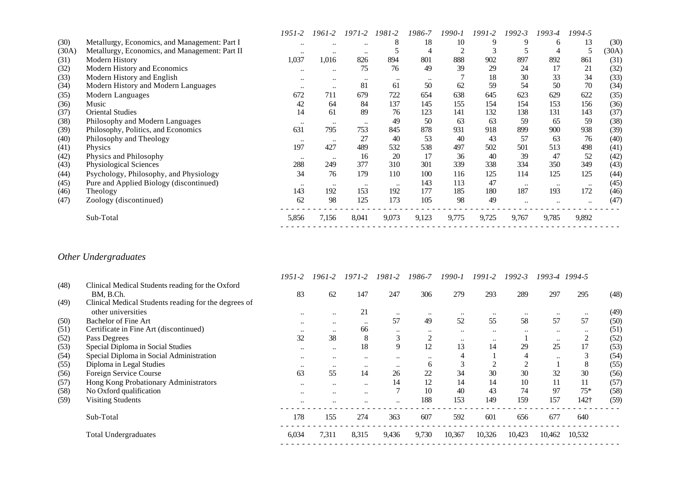|       |                                                | 1951-2           | 1961-2           | $1971 - 2$       | 1981-2           | 1986-7    | 1990-1 | $1991 - 2$ | $1992 - 3$ | 1993-4           | 1994-5    |       |
|-------|------------------------------------------------|------------------|------------------|------------------|------------------|-----------|--------|------------|------------|------------------|-----------|-------|
| (30)  | Metallurgy, Economics, and Management: Part I  | $\ddotsc$        | $\ddotsc$        | $\ddotsc$        | 8                | 18        | 10     |            | 9          | 6                | 13        | (30)  |
| (30A) | Metallurgy, Economics, and Management: Part II | $\ddotsc$        | $\ddotsc$        | $\ddotsc$        |                  | 4         |        |            |            | 4                | 5         | (30A) |
| (31)  | Modern History                                 | 1,037            | 1,016            | 826              | 894              | 801       | 888    | 902        | 897        | 892              | 861       | (31)  |
| (32)  | Modern History and Economics                   | $\bullet\bullet$ | $\bullet\bullet$ | 75               | 76               | 49        | 39     | 29         | 24         | 17               | 21        | (32)  |
| (33)  | Modern History and English                     | $\bullet\bullet$ | $\ddotsc$        | $\bullet\bullet$ | $\ddotsc$        | $\ddotsc$ |        | 18         | 30         | 33               | 34        | (33)  |
| (34)  | Modern History and Modern Languages            | $\ddotsc$        | $\ddotsc$        | 81               | 61               | 50        | 62     | 59         | 54         | 50               | 70        | (34)  |
| (35)  | Modern Languages                               | 672              | 711              | 679              | 722              | 654       | 638    | 645        | 623        | 629              | 622       | (35)  |
| (36)  | Music                                          | 42               | 64               | 84               | 137              | 145       | 155    | 154        | 154        | 153              | 156       | (36)  |
| (37)  | <b>Oriental Studies</b>                        | 14               | 61               | 89               | 76               | 123       | 141    | 132        | 138        | 131              | 143       | (37)  |
| (38)  | Philosophy and Modern Languages                | $\cdots$         | $\ddotsc$        | $\bullet\bullet$ | 49               | 50        | 63     | 63         | 59         | 65               | 59        | (38)  |
| (39)  | Philosophy, Politics, and Economics            | 631              | 795              | 753              | 845              | 878       | 931    | 918        | 899        | 900              | 938       | (39)  |
| (40)  | Philosophy and Theology                        | $\ddotsc$        | $\cdots$         | 27               | 40               | 53        | 40     | 43         | 57         | 63               | 76        | (40)  |
| (41)  | <b>Physics</b>                                 | 197              | 427              | 489              | 532              | 538       | 497    | 502        | 501        | 513              | 498       | (41)  |
| (42)  | Physics and Philosophy                         | $\ddotsc$        | $\cdots$         | 16               | 20               | 17        | 36     | 40         | 39         | 47               | 52        | (42)  |
| (43)  | Physiological Sciences                         | 288              | 249              | 377              | 310              | 301       | 339    | 338        | 334        | 350              | 349       | (43)  |
| (44)  | Psychology, Philosophy, and Physiology         | 34               | 76               | 179              | 110              | 100       | 116    | 125        | 114        | 125              | 125       | (44)  |
| (45)  | Pure and Applied Biology (discontinued)        | $\ddotsc$        | $\cdots$         | $\ddotsc$        | $\bullet\bullet$ | 143       | 113    | 47         | $\ddotsc$  | $\bullet\bullet$ | $\ddotsc$ | (45)  |
| (46)  | Theology                                       | 143              | 192              | 153              | 192              | 177       | 185    | 180        | 187        | 193              | 172       | (46)  |
| (47)  | Zoology (discontinued)                         | 62               | 98               | 125              | 173              | 105       | 98     | 49         | $\ddotsc$  |                  | $\ddotsc$ | (47)  |
|       | Sub-Total                                      | 5,856            | 7,156            | 8,041            | 9,073            | 9,123     | 9,775  | 9,725      | 9,767      | 9,785            | 9,892     |       |
|       |                                                |                  |                  |                  |                  |           |        |            |            |                  |           |       |

# *Other Undergraduates*

|      |                                                      | 1951-2               | 1961-2               | 1971-2    | 1981-2    | 1986-7               | 1990-1    | 1991-2    | $1992 - 3$ |           | 1993-4 1994-5 |      |
|------|------------------------------------------------------|----------------------|----------------------|-----------|-----------|----------------------|-----------|-----------|------------|-----------|---------------|------|
| (48) | Clinical Medical Students reading for the Oxford     |                      |                      |           |           |                      |           |           |            |           |               |      |
|      | BM. B.Ch.                                            | 83                   | 62                   | 147       | 247       | 306                  | 279       | 293       | 289        | 297       | 295           | (48) |
| (49) | Clinical Medical Students reading for the degrees of |                      |                      |           |           |                      |           |           |            |           |               |      |
|      | other universities                                   | $\ddotsc$            | $\bullet\bullet$     | 21        |           | $\ddot{\phantom{0}}$ | $\ddotsc$ | $\ddotsc$ | $\ddotsc$  |           |               | (49) |
| (50) | <b>Bachelor of Fine Art</b>                          | $\ddotsc$            | $\bullet\bullet$     | $\ddotsc$ | 57        | 49                   | 52        | 55        | 58         | 57        | 57            | (50) |
| (51) | Certificate in Fine Art (discontinued)               | $\ddotsc$            | $\ddotsc$            | 66        | $\ddotsc$ | $\ddotsc$            | $\ddotsc$ | $\ddotsc$ | $\ddotsc$  | $\ddotsc$ | $\ddotsc$     | (51) |
| (52) | Pass Degrees                                         | 32                   | 38                   | 8         | J.        | $\sim$               | $\cdots$  | $\ddotsc$ |            | $\ddotsc$ | 2             | (52) |
| (53) | Special Diploma in Social Studies                    | $\ddotsc$            | $\ddotsc$            | 18        | 9         | 12                   | 13        | 14        | 29         | 25        | 17            | (53) |
| (54) | Special Diploma in Social Administration             | $\ddotsc$            | $\ddotsc$            | $\ddotsc$ | $\ddotsc$ | $\ddotsc$            |           |           | 4          | $\ddotsc$ | J.            | (54) |
| (55) | Diploma in Legal Studies                             | $\ddotsc$            | $\ddotsc$            | $\ddotsc$ | $\ddotsc$ | 6                    |           |           |            |           | 8             | (55) |
| (56) | Foreign Service Course                               | 63                   | 55                   | 14        | 26        | 22                   | 34        | 30        | 30         | 32        | 30            | (56) |
| (57) | Hong Kong Probationary Administrators                | $\ddotsc$            | $\ddotsc$            | $\ddotsc$ | 14        | 12                   | 14        | 14        | 10         |           | 11            | (57) |
| (58) | No Oxford qualification                              | $\ddotsc$            | $\ddotsc$            | $\ddotsc$ |           | 10                   | 40        | 43        | 74         | 97        | $75*$         | (58) |
| (59) | <b>Visiting Students</b>                             | $\ddot{\phantom{0}}$ | $\ddot{\phantom{0}}$ |           |           | 188                  | 153       | 149       | 159        | 157       | 142†          | (59) |
|      | Sub-Total                                            | 178                  | 155                  | 274       | 363       | 607                  | 592       | 601       | 656        | 677       | 640           |      |
|      | <b>Total Undergraduates</b>                          | 6,034                | 7,311                | 8,315     | 9,436     | 9,730                | 10,367    | 10,326    | 10,423     | 10,462    | 10,532        |      |
|      |                                                      |                      |                      |           |           |                      |           |           |            |           |               |      |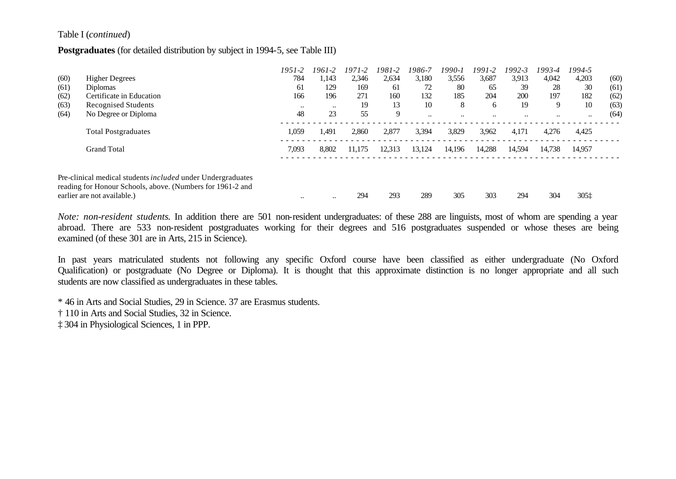#### Table I (*continued*)

#### **Postgraduates** (for detailed distribution by subject in 1994-5, see Table III)

|      |                                                             | $1951 - 2$ | 1961-2    | $1971 - 2$ | 1981-2 | 1986-7    | 1990-1               | 1991-2    | 1992-3    | 1993-4    | 1994-5    |      |
|------|-------------------------------------------------------------|------------|-----------|------------|--------|-----------|----------------------|-----------|-----------|-----------|-----------|------|
| (60) | <b>Higher Degrees</b>                                       | 784        | 1,143     | 2,346      | 2,634  | 3,180     | 3,556                | 3,687     | 3,913     | 4,042     | 4,203     | (60) |
| (61) | <b>Diplomas</b>                                             | 61         | 129       | 169        | 61     | 72        | 80                   | 65        | 39        | 28        | 30        | (61) |
| (62) | Certificate in Education                                    | 166        | 196       | 271        | 160    | 132       | 185                  | 204       | 200       | 197       | 182       | (62) |
| (63) | Recognised Students                                         | $\ddotsc$  | $\ddotsc$ | 19         | 13     | 10        | 8                    | 6         | 19        | 9         | 10        | (63) |
| (64) | No Degree or Diploma                                        | 48         | 23        | 55         | 9      | $\ddotsc$ | $\ddot{\phantom{0}}$ | $\ddotsc$ | $\ddotsc$ | $\ddotsc$ | $\ddotsc$ | (64) |
|      | <b>Total Postgraduates</b>                                  | 1,059      | 1.491     | 2,860      | 2,877  | 3,394     | 3,829                | 3,962     | 4,171     | 4,276     | 4,425     |      |
|      | <b>Grand Total</b>                                          | 7,093      | 8,802     | 11.175     | 12,313 | 13.124    | 14,196               | 14,288    | 14,594    | 14,738    | 14.957    |      |
|      |                                                             |            |           |            |        |           |                      |           |           |           |           |      |
|      | Pre-clinical medical students included under Undergraduates |            |           |            |        |           |                      |           |           |           |           |      |
|      | reading for Honour Schools, above. (Numbers for 1961-2 and  |            |           |            |        |           |                      |           |           |           |           |      |
|      | earlier are not available.)                                 | $\ddotsc$  | $\ddotsc$ | 294        | 293    | 289       | 305                  | 303       | 294       | 304       | 305±      |      |

*Note: non-resident students*. In addition there are 501 non-resident undergraduates: of these 288 are linguists, most of whom are spending a year abroad. There are 533 non-resident postgraduates working for their degrees and 516 postgraduates suspended or whose theses are being examined (of these 301 are in Arts, 215 in Science).

In past years matriculated students not following any specific Oxford course have been classified as either undergraduate (No Oxford Qualification) or postgraduate (No Degree or Diploma). It is thought that this approximate distinction is no longer appropriate and all such students are now classified as undergraduates in these tables.

\* 46 in Arts and Social Studies, 29 in Science. 37 are Erasmus students.

† 110 in Arts and Social Studies, 32 in Science.

‡ 304 in Physiological Sciences, 1 in PPP.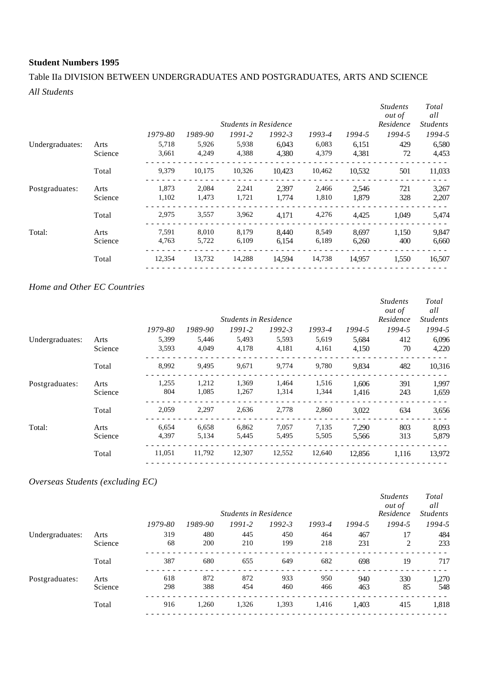## Table IIa DIVISION BETWEEN UNDERGRADUATES AND POSTGRADUATES, ARTS AND SCIENCE *All Students*

|         |         |         |        |            |                              |        | <b>Students</b><br><i>out of</i><br>Residence | Total<br>all<br><b>Students</b> |
|---------|---------|---------|--------|------------|------------------------------|--------|-----------------------------------------------|---------------------------------|
|         | 1979-80 | 1989-90 | 1991-2 | $1992 - 3$ | 1993-4                       | 1994-5 | 1994-5                                        | 1994-5                          |
| Arts    | 5,718   | 5,926   | 5,938  | 6,043      | 6,083                        | 6,151  | 429                                           | 6,580                           |
| Science | 3,661   | 4,249   | 4,388  | 4,380      | 4,379                        | 4,381  | 72                                            | 4,453                           |
| Total   | 9,379   | 10,175  | 10,326 | 10.423     | 10,462                       | 10,532 | 501                                           | 11,033                          |
| Arts    | 1,873   | 2,084   | 2,241  | 2.397      | 2,466                        | 2,546  | 721                                           | 3,267                           |
| Science | 1,102   | 1,473   | 1,721  | 1,774      | 1,810                        | 1,879  | 328                                           | 2,207                           |
| Total   | 2,975   | 3,557   | 3,962  | 4,171      | 4,276                        | 4,425  | 1,049                                         | 5,474                           |
| Arts    | 7,591   | 8,010   | 8,179  | 8,440      | 8,549                        | 8,697  | 1,150                                         | 9,847                           |
| Science | 4,763   | 5,722   | 6,109  | 6,154      | 6,189                        | 6,260  | 400                                           | 6,660                           |
| Total   | 12,354  | 13,732  | 14,288 | 14,594     | 14,738                       | 14,957 | 1,550                                         | 16,507                          |
|         |         |         |        |            | <b>Students in Residence</b> |        |                                               |                                 |

#### *Home and Other EC Countries*

|         |         |         |        |            |                              |        | <b>Students</b><br><i>out of</i> | Total<br>all    |
|---------|---------|---------|--------|------------|------------------------------|--------|----------------------------------|-----------------|
|         |         |         |        |            |                              |        | Residence                        | <b>Students</b> |
|         | 1979-80 | 1989-90 | 1991-2 | $1992 - 3$ | 1993-4                       | 1994-5 | 1994-5                           | 1994-5          |
| Arts    | 5,399   | 5,446   | 5,493  | 5,593      | 5,619                        | 5,684  | 412                              | 6,096           |
| Science | 3,593   | 4,049   | 4,178  | 4,181      | 4,161                        | 4,150  | 70                               | 4,220           |
| Total   | 8,992   | 9,495   | 9,671  | 9,774      | 9,780                        | 9,834  | 482                              | 10,316          |
| Arts    | 1,255   | 1,212   | 1,369  | 1,464      | 1,516                        | 1.606  | 391                              | 1,997           |
| Science | 804     | 1,085   | 1,267  | 1,314      | 1,344                        | 1,416  | 243                              | 1,659           |
| Total   | 2,059   | 2,297   | 2,636  | 2,778      | 2,860                        | 3,022  | 634                              | 3,656           |
| Arts    | 6,654   | 6,658   | 6,862  | 7,057      | 7,135                        | 7,290  | 803                              | 8,093           |
| Science | 4,397   | 5,134   | 5,445  | 5,495      | 5,505                        | 5,566  | 313                              | 5,879           |
| Total   | 11,051  | 11,792  | 12,307 | 12,552     | 12,640                       | 12,856 | 1,116                            | 13,972          |
|         |         |         |        |            | <b>Students in Residence</b> |        |                                  |                 |

## *Overseas Students (excluding EC)*

|                 |         |         |         | <b>Students in Residence</b> |            |        |        | <b>Students</b><br><i>out of</i><br>Residence | Total<br>all<br><b>Students</b> |
|-----------------|---------|---------|---------|------------------------------|------------|--------|--------|-----------------------------------------------|---------------------------------|
|                 |         | 1979-80 | 1989-90 | $1991 - 2$                   | $1992 - 3$ | 1993-4 | 1994-5 | 1994-5                                        | 1994-5                          |
| Undergraduates: | Arts    | 319     | 480     | 445                          | 450        | 464    | 467    | 17                                            | 484                             |
|                 | Science | 68      | 200     | 210                          | 199        | 218    | 231    | $\overline{c}$                                | 233                             |
|                 | Total   | 387     | 680     | 655                          | 649        | 682    | 698    | 19                                            | 717                             |
| Postgraduates:  | Arts    | 618     | 872     | 872                          | 933        | 950    | 940    | 330                                           | 1,270                           |
|                 | Science | 298     | 388     | 454                          | 460        | 466    | 463    | 85                                            | 548                             |
|                 | Total   | 916     | 1,260   | 1,326                        | 1,393      | 1,416  | 1,403  | 415                                           | 1,818                           |
|                 |         |         |         |                              |            |        |        |                                               |                                 |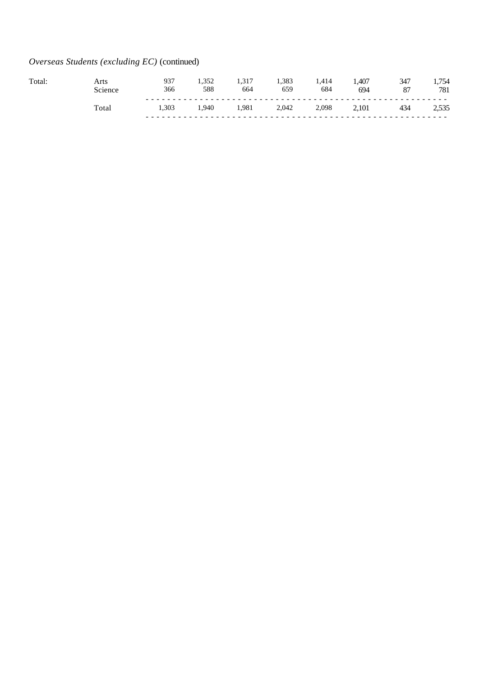## *Overseas Students (excluding EC)* (continued)

| Total. | Arts           | 937<br>366 | 588   | 664  | 1,383<br>659 | 1.414<br>684 | ,407<br>694 | 87 | .754<br>781 |
|--------|----------------|------------|-------|------|--------------|--------------|-------------|----|-------------|
|        | $_{\rm Total}$ | 1.303      | 1.940 | .981 | 2,042        | 2,098        | 2,101       |    | ل ل ل د     |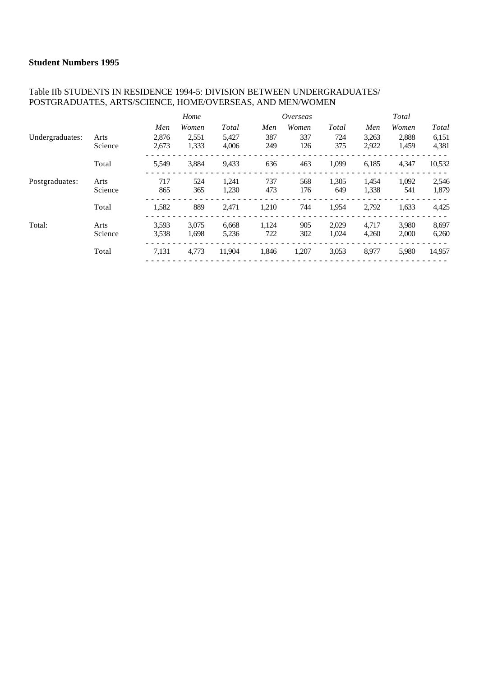#### Table IIb STUDENTS IN RESIDENCE 1994-5: DIVISION BETWEEN UNDERGRADUATES/ POSTGRADUATES, ARTS/SCIENCE, HOME/OVERSEAS, AND MEN/WOMEN

|                 |         |       | Home  |        |       | Overseas |       |       | Total |        |
|-----------------|---------|-------|-------|--------|-------|----------|-------|-------|-------|--------|
|                 |         | Men   | Women | Total  | Men   | Women    | Total | Men   | Women | Total  |
| Undergraduates: | Arts    | 2.876 | 2,551 | 5,427  | 387   | 337      | 724   | 3,263 | 2,888 | 6,151  |
|                 | Science | 2,673 | 1,333 | 4,006  | 249   | 126      | 375   | 2,922 | 1,459 | 4,381  |
|                 | Total   | 5,549 | 3,884 | 9,433  | 636   | 463      | 1,099 | 6,185 | 4,347 | 10,532 |
| Postgraduates:  | Arts    | 717   | 524   | 1,241  | 737   | 568      | 1,305 | 1,454 | 1,092 | 2,546  |
|                 | Science | 865   | 365   | 1,230  | 473   | 176      | 649   | 1,338 | 541   | 1,879  |
|                 | Total   | 1,582 | 889   | 2,471  | 1,210 | 744      | 1,954 | 2,792 | 1,633 | 4,425  |
| Total:          | Arts    | 3.593 | 3.075 | 6,668  | 1,124 | 905      | 2,029 | 4.717 | 3,980 | 8,697  |
|                 | Science | 3,538 | 1.698 | 5,236  | 722   | 302      | 1,024 | 4,260 | 2,000 | 6,260  |
|                 | Total   | 7,131 | 4,773 | 11,904 | 1,846 | 1,207    | 3,053 | 8,977 | 5,980 | 14,957 |
|                 |         |       |       |        |       |          |       |       |       |        |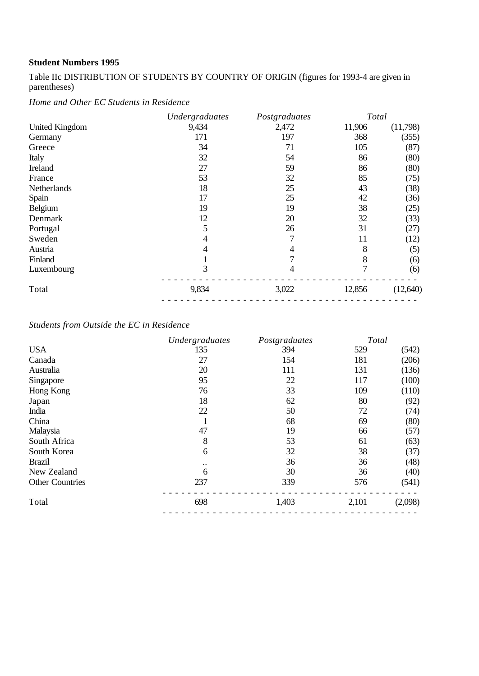Table IIc DISTRIBUTION OF STUDENTS BY COUNTRY OF ORIGIN (figures for 1993-4 are given in parentheses)

*Home and Other EC Students in Residence*

| 9,434 | 2,472 |        |          |
|-------|-------|--------|----------|
|       |       | 11,906 | (11,798) |
|       | 197   | 368    | (355)    |
| 34    | 71    | 105    | (87)     |
| 32    | 54    | 86     | (80)     |
| 27    | 59    | 86     | (80)     |
| 53    | 32    | 85     | (75)     |
| 18    | 25    | 43     | (38)     |
| 17    | 25    | 42     | (36)     |
| 19    | 19    | 38     | (25)     |
| 12    | 20    | 32     | (33)     |
| 5     | 26    | 31     | (27)     |
| 4     |       | 11     | (12)     |
| 4     | 4     | 8      | (5)      |
|       | 7     | 8      | (6)      |
| 3     | 4     | 7      | (6)      |
| 9,834 | 3,022 | 12,856 | (12,640) |
|       | 171   |        |          |

## *Students from Outside the EC in Residence*

|                        | Undergraduates | Postgraduates | Total |         |
|------------------------|----------------|---------------|-------|---------|
| <b>USA</b>             | 135            | 394           | 529   | (542)   |
| Canada                 | 27             | 154           | 181   | (206)   |
| Australia              | 20             | 111           | 131   | (136)   |
| Singapore              | 95             | 22            | 117   | (100)   |
| Hong Kong              | 76             | 33            | 109   | (110)   |
| Japan                  | 18             | 62            | 80    | (92)    |
| India                  | 22             | 50            | 72    | (74)    |
| China                  |                | 68            | 69    | (80)    |
| Malaysia               | 47             | 19            | 66    | (57)    |
| South Africa           | 8              | 53            | 61    | (63)    |
| South Korea            | 6              | 32            | 38    | (37)    |
| <b>Brazil</b>          | $\bullet$ .    | 36            | 36    | (48)    |
| New Zealand            | 6              | 30            | 36    | (40)    |
| <b>Other Countries</b> | 237            | 339           | 576   | (541)   |
| Total                  | 698            | 1,403         | 2,101 | (2,098) |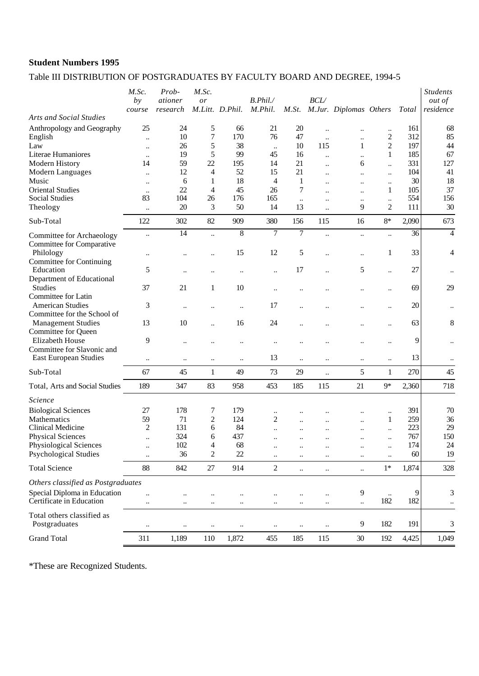## Table III DISTRIBUTION OF POSTGRADUATES BY FACULTY BOARD AND DEGREE, 1994-5

| M.Jur. Diplomas Others<br>M.Litt. D.Phil.<br><b>Arts and Social Studies</b><br>Anthropology and Geography<br>25<br>24<br>5<br>66<br>21<br>20<br>161<br>$\ldots$<br>$\ddotsc$<br><br>7<br>170<br>76<br>312<br>85<br>10<br>47<br>2<br>English<br>$\ddot{\phantom{a}}$<br>$\ddotsc$<br><br>38<br>$\overline{c}$<br>197<br>5<br>10<br>115<br>44<br>26<br>1<br>Law<br>$\ddotsc$<br>$\ddotsc$<br>5<br>99<br>185<br>Literae Humaniores<br>19<br>45<br>16<br>1<br>$\ldots$<br>$\ddotsc$<br><br>59<br>22<br>331<br>Modern History<br>195<br>14<br>21<br>6<br>14<br>$\ddot{\phantom{a}}$<br>$\ddot{\phantom{a}}$<br>12<br>52<br>21<br>104<br>15<br>Modern Languages<br>4<br>$\ddot{\phantom{a}}$<br>$\ddot{\phantom{a}}$<br>$\ddotsc$<br>$\ddot{\phantom{a}}$<br>30<br>18<br>$\overline{4}$<br>Music<br>6<br>1<br>1<br>$\ddotsc$<br>$\ddotsc$<br>$\ddotsc$<br><br>22<br>45<br>26<br>7<br>105<br><b>Oriental Studies</b><br>4<br>1<br>$\ddot{\phantom{a}}$<br>$\ddotsc$<br>$\ddotsc$<br>83<br>554<br><b>Social Studies</b><br>104<br>26<br>176<br>165<br>$\ddotsc$<br>$\ddot{\phantom{a}}$<br>$\ddotsc$<br>$\ddotsc$<br>20<br>3<br>50<br>9<br>$\overline{c}$<br>Theology<br>14<br>13<br>111<br><br>$\ddotsc$<br>Sub-Total<br>122<br>302<br>82<br>909<br>380<br>156<br>$8*$<br>2,090<br>115<br>16<br>$\overline{7}$<br>8<br>$\overline{7}$<br>14<br>36<br>$\ddot{\phantom{a}}$<br>$\ddot{\phantom{a}}$<br>$\ddotsc$<br>Committee for Archaeology<br><br>$\ddotsc$<br>Committee for Comparative<br>33<br>Philology<br>15<br>12<br>5<br>1<br><br>$\ddot{\phantom{a}}$<br><br><br>Committee for Continuing<br>27<br>17<br>5<br>Education<br>5<br>$\ddot{\phantom{a}}$<br><br>$\ddotsc$<br>Department of Educational<br><b>Studies</b><br>69<br>37<br>21<br>$\mathbf{1}$<br>10<br>$\ddot{\phantom{a}}$<br>$\ddot{\phantom{a}}$<br><br>Committee for Latin<br><b>American Studies</b><br>3<br>20<br>17<br>$\ldots$<br>$\ddot{\phantom{a}}$<br>$\ddotsc$<br>$\ddot{\phantom{a}}$<br><br>$\ddot{\phantom{0}}$<br><br>Committee for the School of<br>13<br>63<br><b>Management Studies</b><br>10<br>16<br>24<br>$\ddot{\phantom{0}}$<br><br>Committee for Queen<br>Elizabeth House<br>9<br>9<br>$\ddot{\phantom{a}}$<br><br><br>$\ddot{\phantom{a}}$<br><br>Committee for Slavonic and<br>13<br>13<br>East European Studies<br>$\ddotsc$<br><br>$\ddotsc$<br>$\ddotsc$<br>$\ddot{\phantom{0}}$<br>$\ldots$<br>$\ddotsc$<br>$\ddotsc$<br>270<br>Sub-Total<br>67<br>45<br>49<br>73<br>29<br>5<br>$\mathbf{1}$<br>$\mathbf{1}$<br>$\ddot{\phantom{a}}$<br>189<br>347<br>83<br>958<br>453<br>185<br>21<br>$9*$<br>2,360<br>Total, Arts and Social Studies<br>115<br>Science<br>391<br><b>Biological Sciences</b><br>27<br>178<br>7<br>179<br>$\ddotsc$<br>$\ddotsc$<br><br>Mathematics<br>59<br>71<br>2<br>$\overline{c}$<br>259<br>124<br>1<br>$\ddot{\phantom{0}}$<br>$\ddot{\phantom{a}}$<br>$\overline{c}$<br>131<br>84<br>223<br>Clinical Medicine<br>6<br><br><br>324<br>437<br>767<br><b>Physical Sciences</b><br>6<br>$\ddotsc$<br>$\ddot{\phantom{a}}$<br>$\ddot{\phantom{a}}$<br>$\ddot{\phantom{a}}$<br>$\ddotsc$<br>$\ddotsc$<br>174<br>Physiological Sciences<br>102<br>68<br>24<br>4<br><br>$\ddotsc$<br><br>$\ddotsc$<br><b>Psychological Studies</b><br>36<br>$\mathfrak{2}$<br>$22\,$<br>60<br>19<br><br><br>88<br>842<br>914<br>$\overline{c}$<br>1,874<br><b>Total Science</b><br>27<br>$1*$<br>$\ddot{\phantom{a}}$<br>$\ddot{\phantom{a}}$<br>$\ddot{\phantom{a}}$<br>Others classified as Postgraduates<br>Special Diploma in Education<br>9<br>9<br>$\ddot{\phantom{a}}$<br>$\ddot{\phantom{0}}$<br>$\ddotsc$<br><br>$\ddotsc$<br>182<br>Certificate in Education<br>182<br>$\ddotsc$<br><br>$\ddotsc$<br>$\ldots$<br>$\ddotsc$<br>$\ddotsc$<br>$\ldots$<br>$\ddotsc$<br>Total others classified as<br>Postgraduates<br>9<br>182<br>191<br>$\ddot{\phantom{0}}$<br>$\ddotsc$<br>$\ddotsc$<br>$\ddotsc$<br>$\ddotsc$<br>$\ddotsc$<br>$\ddotsc$ |                    | M.Sc.<br>by | Prob-<br>ationer | M.Sc.<br>or |       | B. Phil.<br>M.Phil. | M.St. | <b>BCL/</b> |    |     |              | <b>Students</b><br><i>out of</i><br>residence |
|----------------------------------------------------------------------------------------------------------------------------------------------------------------------------------------------------------------------------------------------------------------------------------------------------------------------------------------------------------------------------------------------------------------------------------------------------------------------------------------------------------------------------------------------------------------------------------------------------------------------------------------------------------------------------------------------------------------------------------------------------------------------------------------------------------------------------------------------------------------------------------------------------------------------------------------------------------------------------------------------------------------------------------------------------------------------------------------------------------------------------------------------------------------------------------------------------------------------------------------------------------------------------------------------------------------------------------------------------------------------------------------------------------------------------------------------------------------------------------------------------------------------------------------------------------------------------------------------------------------------------------------------------------------------------------------------------------------------------------------------------------------------------------------------------------------------------------------------------------------------------------------------------------------------------------------------------------------------------------------------------------------------------------------------------------------------------------------------------------------------------------------------------------------------------------------------------------------------------------------------------------------------------------------------------------------------------------------------------------------------------------------------------------------------------------------------------------------------------------------------------------------------------------------------------------------------------------------------------------------------------------------------------------------------------------------------------------------------------------------------------------------------------------------------------------------------------------------------------------------------------------------------------------------------------------------------------------------------------------------------------------------------------------------------------------------------------------------------------------------------------------------------------------------------------------------------------------------------------------------------------------------------------------------------------------------------------------------------------------------------------------------------------------------------------------------------------------------------------------------------------------------------------------------------------------------------------------------------------------------------------------------------------------------------------------------------------------------------------------------------------------------------------------------------------------------------------------------------------------------------------------------------------------------------------------------------|--------------------|-------------|------------------|-------------|-------|---------------------|-------|-------------|----|-----|--------------|-----------------------------------------------|
|                                                                                                                                                                                                                                                                                                                                                                                                                                                                                                                                                                                                                                                                                                                                                                                                                                                                                                                                                                                                                                                                                                                                                                                                                                                                                                                                                                                                                                                                                                                                                                                                                                                                                                                                                                                                                                                                                                                                                                                                                                                                                                                                                                                                                                                                                                                                                                                                                                                                                                                                                                                                                                                                                                                                                                                                                                                                                                                                                                                                                                                                                                                                                                                                                                                                                                                                                                                                                                                                                                                                                                                                                                                                                                                                                                                                                                                                                                                                              |                    | course      | $res\,$          |             |       |                     |       |             |    |     | <b>Total</b> |                                               |
|                                                                                                                                                                                                                                                                                                                                                                                                                                                                                                                                                                                                                                                                                                                                                                                                                                                                                                                                                                                                                                                                                                                                                                                                                                                                                                                                                                                                                                                                                                                                                                                                                                                                                                                                                                                                                                                                                                                                                                                                                                                                                                                                                                                                                                                                                                                                                                                                                                                                                                                                                                                                                                                                                                                                                                                                                                                                                                                                                                                                                                                                                                                                                                                                                                                                                                                                                                                                                                                                                                                                                                                                                                                                                                                                                                                                                                                                                                                                              |                    |             |                  |             |       |                     |       |             |    |     |              | 68                                            |
|                                                                                                                                                                                                                                                                                                                                                                                                                                                                                                                                                                                                                                                                                                                                                                                                                                                                                                                                                                                                                                                                                                                                                                                                                                                                                                                                                                                                                                                                                                                                                                                                                                                                                                                                                                                                                                                                                                                                                                                                                                                                                                                                                                                                                                                                                                                                                                                                                                                                                                                                                                                                                                                                                                                                                                                                                                                                                                                                                                                                                                                                                                                                                                                                                                                                                                                                                                                                                                                                                                                                                                                                                                                                                                                                                                                                                                                                                                                                              |                    |             |                  |             |       |                     |       |             |    |     |              |                                               |
|                                                                                                                                                                                                                                                                                                                                                                                                                                                                                                                                                                                                                                                                                                                                                                                                                                                                                                                                                                                                                                                                                                                                                                                                                                                                                                                                                                                                                                                                                                                                                                                                                                                                                                                                                                                                                                                                                                                                                                                                                                                                                                                                                                                                                                                                                                                                                                                                                                                                                                                                                                                                                                                                                                                                                                                                                                                                                                                                                                                                                                                                                                                                                                                                                                                                                                                                                                                                                                                                                                                                                                                                                                                                                                                                                                                                                                                                                                                                              |                    |             |                  |             |       |                     |       |             |    |     |              | 67                                            |
|                                                                                                                                                                                                                                                                                                                                                                                                                                                                                                                                                                                                                                                                                                                                                                                                                                                                                                                                                                                                                                                                                                                                                                                                                                                                                                                                                                                                                                                                                                                                                                                                                                                                                                                                                                                                                                                                                                                                                                                                                                                                                                                                                                                                                                                                                                                                                                                                                                                                                                                                                                                                                                                                                                                                                                                                                                                                                                                                                                                                                                                                                                                                                                                                                                                                                                                                                                                                                                                                                                                                                                                                                                                                                                                                                                                                                                                                                                                                              |                    |             |                  |             |       |                     |       |             |    |     |              | 127                                           |
|                                                                                                                                                                                                                                                                                                                                                                                                                                                                                                                                                                                                                                                                                                                                                                                                                                                                                                                                                                                                                                                                                                                                                                                                                                                                                                                                                                                                                                                                                                                                                                                                                                                                                                                                                                                                                                                                                                                                                                                                                                                                                                                                                                                                                                                                                                                                                                                                                                                                                                                                                                                                                                                                                                                                                                                                                                                                                                                                                                                                                                                                                                                                                                                                                                                                                                                                                                                                                                                                                                                                                                                                                                                                                                                                                                                                                                                                                                                                              |                    |             |                  |             |       |                     |       |             |    |     |              | 41                                            |
|                                                                                                                                                                                                                                                                                                                                                                                                                                                                                                                                                                                                                                                                                                                                                                                                                                                                                                                                                                                                                                                                                                                                                                                                                                                                                                                                                                                                                                                                                                                                                                                                                                                                                                                                                                                                                                                                                                                                                                                                                                                                                                                                                                                                                                                                                                                                                                                                                                                                                                                                                                                                                                                                                                                                                                                                                                                                                                                                                                                                                                                                                                                                                                                                                                                                                                                                                                                                                                                                                                                                                                                                                                                                                                                                                                                                                                                                                                                                              |                    |             |                  |             |       |                     |       |             |    |     |              | 18                                            |
|                                                                                                                                                                                                                                                                                                                                                                                                                                                                                                                                                                                                                                                                                                                                                                                                                                                                                                                                                                                                                                                                                                                                                                                                                                                                                                                                                                                                                                                                                                                                                                                                                                                                                                                                                                                                                                                                                                                                                                                                                                                                                                                                                                                                                                                                                                                                                                                                                                                                                                                                                                                                                                                                                                                                                                                                                                                                                                                                                                                                                                                                                                                                                                                                                                                                                                                                                                                                                                                                                                                                                                                                                                                                                                                                                                                                                                                                                                                                              |                    |             |                  |             |       |                     |       |             |    |     |              | 37                                            |
|                                                                                                                                                                                                                                                                                                                                                                                                                                                                                                                                                                                                                                                                                                                                                                                                                                                                                                                                                                                                                                                                                                                                                                                                                                                                                                                                                                                                                                                                                                                                                                                                                                                                                                                                                                                                                                                                                                                                                                                                                                                                                                                                                                                                                                                                                                                                                                                                                                                                                                                                                                                                                                                                                                                                                                                                                                                                                                                                                                                                                                                                                                                                                                                                                                                                                                                                                                                                                                                                                                                                                                                                                                                                                                                                                                                                                                                                                                                                              |                    |             |                  |             |       |                     |       |             |    |     |              | 156                                           |
|                                                                                                                                                                                                                                                                                                                                                                                                                                                                                                                                                                                                                                                                                                                                                                                                                                                                                                                                                                                                                                                                                                                                                                                                                                                                                                                                                                                                                                                                                                                                                                                                                                                                                                                                                                                                                                                                                                                                                                                                                                                                                                                                                                                                                                                                                                                                                                                                                                                                                                                                                                                                                                                                                                                                                                                                                                                                                                                                                                                                                                                                                                                                                                                                                                                                                                                                                                                                                                                                                                                                                                                                                                                                                                                                                                                                                                                                                                                                              |                    |             |                  |             |       |                     |       |             |    |     |              | 30                                            |
|                                                                                                                                                                                                                                                                                                                                                                                                                                                                                                                                                                                                                                                                                                                                                                                                                                                                                                                                                                                                                                                                                                                                                                                                                                                                                                                                                                                                                                                                                                                                                                                                                                                                                                                                                                                                                                                                                                                                                                                                                                                                                                                                                                                                                                                                                                                                                                                                                                                                                                                                                                                                                                                                                                                                                                                                                                                                                                                                                                                                                                                                                                                                                                                                                                                                                                                                                                                                                                                                                                                                                                                                                                                                                                                                                                                                                                                                                                                                              |                    |             |                  |             |       |                     |       |             |    |     |              | 673                                           |
|                                                                                                                                                                                                                                                                                                                                                                                                                                                                                                                                                                                                                                                                                                                                                                                                                                                                                                                                                                                                                                                                                                                                                                                                                                                                                                                                                                                                                                                                                                                                                                                                                                                                                                                                                                                                                                                                                                                                                                                                                                                                                                                                                                                                                                                                                                                                                                                                                                                                                                                                                                                                                                                                                                                                                                                                                                                                                                                                                                                                                                                                                                                                                                                                                                                                                                                                                                                                                                                                                                                                                                                                                                                                                                                                                                                                                                                                                                                                              |                    |             |                  |             |       |                     |       |             |    |     |              | 4                                             |
|                                                                                                                                                                                                                                                                                                                                                                                                                                                                                                                                                                                                                                                                                                                                                                                                                                                                                                                                                                                                                                                                                                                                                                                                                                                                                                                                                                                                                                                                                                                                                                                                                                                                                                                                                                                                                                                                                                                                                                                                                                                                                                                                                                                                                                                                                                                                                                                                                                                                                                                                                                                                                                                                                                                                                                                                                                                                                                                                                                                                                                                                                                                                                                                                                                                                                                                                                                                                                                                                                                                                                                                                                                                                                                                                                                                                                                                                                                                                              |                    |             |                  |             |       |                     |       |             |    |     |              | 4                                             |
|                                                                                                                                                                                                                                                                                                                                                                                                                                                                                                                                                                                                                                                                                                                                                                                                                                                                                                                                                                                                                                                                                                                                                                                                                                                                                                                                                                                                                                                                                                                                                                                                                                                                                                                                                                                                                                                                                                                                                                                                                                                                                                                                                                                                                                                                                                                                                                                                                                                                                                                                                                                                                                                                                                                                                                                                                                                                                                                                                                                                                                                                                                                                                                                                                                                                                                                                                                                                                                                                                                                                                                                                                                                                                                                                                                                                                                                                                                                                              |                    |             |                  |             |       |                     |       |             |    |     |              | $\ddotsc$                                     |
|                                                                                                                                                                                                                                                                                                                                                                                                                                                                                                                                                                                                                                                                                                                                                                                                                                                                                                                                                                                                                                                                                                                                                                                                                                                                                                                                                                                                                                                                                                                                                                                                                                                                                                                                                                                                                                                                                                                                                                                                                                                                                                                                                                                                                                                                                                                                                                                                                                                                                                                                                                                                                                                                                                                                                                                                                                                                                                                                                                                                                                                                                                                                                                                                                                                                                                                                                                                                                                                                                                                                                                                                                                                                                                                                                                                                                                                                                                                                              |                    |             |                  |             |       |                     |       |             |    |     |              | 29                                            |
|                                                                                                                                                                                                                                                                                                                                                                                                                                                                                                                                                                                                                                                                                                                                                                                                                                                                                                                                                                                                                                                                                                                                                                                                                                                                                                                                                                                                                                                                                                                                                                                                                                                                                                                                                                                                                                                                                                                                                                                                                                                                                                                                                                                                                                                                                                                                                                                                                                                                                                                                                                                                                                                                                                                                                                                                                                                                                                                                                                                                                                                                                                                                                                                                                                                                                                                                                                                                                                                                                                                                                                                                                                                                                                                                                                                                                                                                                                                                              |                    |             |                  |             |       |                     |       |             |    |     |              | $\ddotsc$                                     |
|                                                                                                                                                                                                                                                                                                                                                                                                                                                                                                                                                                                                                                                                                                                                                                                                                                                                                                                                                                                                                                                                                                                                                                                                                                                                                                                                                                                                                                                                                                                                                                                                                                                                                                                                                                                                                                                                                                                                                                                                                                                                                                                                                                                                                                                                                                                                                                                                                                                                                                                                                                                                                                                                                                                                                                                                                                                                                                                                                                                                                                                                                                                                                                                                                                                                                                                                                                                                                                                                                                                                                                                                                                                                                                                                                                                                                                                                                                                                              |                    |             |                  |             |       |                     |       |             |    |     |              | 8                                             |
|                                                                                                                                                                                                                                                                                                                                                                                                                                                                                                                                                                                                                                                                                                                                                                                                                                                                                                                                                                                                                                                                                                                                                                                                                                                                                                                                                                                                                                                                                                                                                                                                                                                                                                                                                                                                                                                                                                                                                                                                                                                                                                                                                                                                                                                                                                                                                                                                                                                                                                                                                                                                                                                                                                                                                                                                                                                                                                                                                                                                                                                                                                                                                                                                                                                                                                                                                                                                                                                                                                                                                                                                                                                                                                                                                                                                                                                                                                                                              |                    |             |                  |             |       |                     |       |             |    |     |              | $\ddotsc$                                     |
|                                                                                                                                                                                                                                                                                                                                                                                                                                                                                                                                                                                                                                                                                                                                                                                                                                                                                                                                                                                                                                                                                                                                                                                                                                                                                                                                                                                                                                                                                                                                                                                                                                                                                                                                                                                                                                                                                                                                                                                                                                                                                                                                                                                                                                                                                                                                                                                                                                                                                                                                                                                                                                                                                                                                                                                                                                                                                                                                                                                                                                                                                                                                                                                                                                                                                                                                                                                                                                                                                                                                                                                                                                                                                                                                                                                                                                                                                                                                              |                    |             |                  |             |       |                     |       |             |    |     |              | $\ddotsc$                                     |
|                                                                                                                                                                                                                                                                                                                                                                                                                                                                                                                                                                                                                                                                                                                                                                                                                                                                                                                                                                                                                                                                                                                                                                                                                                                                                                                                                                                                                                                                                                                                                                                                                                                                                                                                                                                                                                                                                                                                                                                                                                                                                                                                                                                                                                                                                                                                                                                                                                                                                                                                                                                                                                                                                                                                                                                                                                                                                                                                                                                                                                                                                                                                                                                                                                                                                                                                                                                                                                                                                                                                                                                                                                                                                                                                                                                                                                                                                                                                              |                    |             |                  |             |       |                     |       |             |    |     |              | 45                                            |
|                                                                                                                                                                                                                                                                                                                                                                                                                                                                                                                                                                                                                                                                                                                                                                                                                                                                                                                                                                                                                                                                                                                                                                                                                                                                                                                                                                                                                                                                                                                                                                                                                                                                                                                                                                                                                                                                                                                                                                                                                                                                                                                                                                                                                                                                                                                                                                                                                                                                                                                                                                                                                                                                                                                                                                                                                                                                                                                                                                                                                                                                                                                                                                                                                                                                                                                                                                                                                                                                                                                                                                                                                                                                                                                                                                                                                                                                                                                                              |                    |             |                  |             |       |                     |       |             |    |     |              | 718                                           |
|                                                                                                                                                                                                                                                                                                                                                                                                                                                                                                                                                                                                                                                                                                                                                                                                                                                                                                                                                                                                                                                                                                                                                                                                                                                                                                                                                                                                                                                                                                                                                                                                                                                                                                                                                                                                                                                                                                                                                                                                                                                                                                                                                                                                                                                                                                                                                                                                                                                                                                                                                                                                                                                                                                                                                                                                                                                                                                                                                                                                                                                                                                                                                                                                                                                                                                                                                                                                                                                                                                                                                                                                                                                                                                                                                                                                                                                                                                                                              |                    |             |                  |             |       |                     |       |             |    |     |              |                                               |
|                                                                                                                                                                                                                                                                                                                                                                                                                                                                                                                                                                                                                                                                                                                                                                                                                                                                                                                                                                                                                                                                                                                                                                                                                                                                                                                                                                                                                                                                                                                                                                                                                                                                                                                                                                                                                                                                                                                                                                                                                                                                                                                                                                                                                                                                                                                                                                                                                                                                                                                                                                                                                                                                                                                                                                                                                                                                                                                                                                                                                                                                                                                                                                                                                                                                                                                                                                                                                                                                                                                                                                                                                                                                                                                                                                                                                                                                                                                                              |                    |             |                  |             |       |                     |       |             |    |     |              | 70                                            |
|                                                                                                                                                                                                                                                                                                                                                                                                                                                                                                                                                                                                                                                                                                                                                                                                                                                                                                                                                                                                                                                                                                                                                                                                                                                                                                                                                                                                                                                                                                                                                                                                                                                                                                                                                                                                                                                                                                                                                                                                                                                                                                                                                                                                                                                                                                                                                                                                                                                                                                                                                                                                                                                                                                                                                                                                                                                                                                                                                                                                                                                                                                                                                                                                                                                                                                                                                                                                                                                                                                                                                                                                                                                                                                                                                                                                                                                                                                                                              |                    |             |                  |             |       |                     |       |             |    |     |              | 36                                            |
|                                                                                                                                                                                                                                                                                                                                                                                                                                                                                                                                                                                                                                                                                                                                                                                                                                                                                                                                                                                                                                                                                                                                                                                                                                                                                                                                                                                                                                                                                                                                                                                                                                                                                                                                                                                                                                                                                                                                                                                                                                                                                                                                                                                                                                                                                                                                                                                                                                                                                                                                                                                                                                                                                                                                                                                                                                                                                                                                                                                                                                                                                                                                                                                                                                                                                                                                                                                                                                                                                                                                                                                                                                                                                                                                                                                                                                                                                                                                              |                    |             |                  |             |       |                     |       |             |    |     |              | 29                                            |
|                                                                                                                                                                                                                                                                                                                                                                                                                                                                                                                                                                                                                                                                                                                                                                                                                                                                                                                                                                                                                                                                                                                                                                                                                                                                                                                                                                                                                                                                                                                                                                                                                                                                                                                                                                                                                                                                                                                                                                                                                                                                                                                                                                                                                                                                                                                                                                                                                                                                                                                                                                                                                                                                                                                                                                                                                                                                                                                                                                                                                                                                                                                                                                                                                                                                                                                                                                                                                                                                                                                                                                                                                                                                                                                                                                                                                                                                                                                                              |                    |             |                  |             |       |                     |       |             |    |     |              | 150                                           |
|                                                                                                                                                                                                                                                                                                                                                                                                                                                                                                                                                                                                                                                                                                                                                                                                                                                                                                                                                                                                                                                                                                                                                                                                                                                                                                                                                                                                                                                                                                                                                                                                                                                                                                                                                                                                                                                                                                                                                                                                                                                                                                                                                                                                                                                                                                                                                                                                                                                                                                                                                                                                                                                                                                                                                                                                                                                                                                                                                                                                                                                                                                                                                                                                                                                                                                                                                                                                                                                                                                                                                                                                                                                                                                                                                                                                                                                                                                                                              |                    |             |                  |             |       |                     |       |             |    |     |              |                                               |
|                                                                                                                                                                                                                                                                                                                                                                                                                                                                                                                                                                                                                                                                                                                                                                                                                                                                                                                                                                                                                                                                                                                                                                                                                                                                                                                                                                                                                                                                                                                                                                                                                                                                                                                                                                                                                                                                                                                                                                                                                                                                                                                                                                                                                                                                                                                                                                                                                                                                                                                                                                                                                                                                                                                                                                                                                                                                                                                                                                                                                                                                                                                                                                                                                                                                                                                                                                                                                                                                                                                                                                                                                                                                                                                                                                                                                                                                                                                                              |                    |             |                  |             |       |                     |       |             |    |     |              |                                               |
|                                                                                                                                                                                                                                                                                                                                                                                                                                                                                                                                                                                                                                                                                                                                                                                                                                                                                                                                                                                                                                                                                                                                                                                                                                                                                                                                                                                                                                                                                                                                                                                                                                                                                                                                                                                                                                                                                                                                                                                                                                                                                                                                                                                                                                                                                                                                                                                                                                                                                                                                                                                                                                                                                                                                                                                                                                                                                                                                                                                                                                                                                                                                                                                                                                                                                                                                                                                                                                                                                                                                                                                                                                                                                                                                                                                                                                                                                                                                              |                    |             |                  |             |       |                     |       |             |    |     |              | 328                                           |
|                                                                                                                                                                                                                                                                                                                                                                                                                                                                                                                                                                                                                                                                                                                                                                                                                                                                                                                                                                                                                                                                                                                                                                                                                                                                                                                                                                                                                                                                                                                                                                                                                                                                                                                                                                                                                                                                                                                                                                                                                                                                                                                                                                                                                                                                                                                                                                                                                                                                                                                                                                                                                                                                                                                                                                                                                                                                                                                                                                                                                                                                                                                                                                                                                                                                                                                                                                                                                                                                                                                                                                                                                                                                                                                                                                                                                                                                                                                                              |                    |             |                  |             |       |                     |       |             |    |     |              |                                               |
|                                                                                                                                                                                                                                                                                                                                                                                                                                                                                                                                                                                                                                                                                                                                                                                                                                                                                                                                                                                                                                                                                                                                                                                                                                                                                                                                                                                                                                                                                                                                                                                                                                                                                                                                                                                                                                                                                                                                                                                                                                                                                                                                                                                                                                                                                                                                                                                                                                                                                                                                                                                                                                                                                                                                                                                                                                                                                                                                                                                                                                                                                                                                                                                                                                                                                                                                                                                                                                                                                                                                                                                                                                                                                                                                                                                                                                                                                                                                              |                    |             |                  |             |       |                     |       |             |    |     |              | 3<br>$\ddotsc$                                |
|                                                                                                                                                                                                                                                                                                                                                                                                                                                                                                                                                                                                                                                                                                                                                                                                                                                                                                                                                                                                                                                                                                                                                                                                                                                                                                                                                                                                                                                                                                                                                                                                                                                                                                                                                                                                                                                                                                                                                                                                                                                                                                                                                                                                                                                                                                                                                                                                                                                                                                                                                                                                                                                                                                                                                                                                                                                                                                                                                                                                                                                                                                                                                                                                                                                                                                                                                                                                                                                                                                                                                                                                                                                                                                                                                                                                                                                                                                                                              |                    |             |                  |             |       |                     |       |             |    |     |              | 3                                             |
|                                                                                                                                                                                                                                                                                                                                                                                                                                                                                                                                                                                                                                                                                                                                                                                                                                                                                                                                                                                                                                                                                                                                                                                                                                                                                                                                                                                                                                                                                                                                                                                                                                                                                                                                                                                                                                                                                                                                                                                                                                                                                                                                                                                                                                                                                                                                                                                                                                                                                                                                                                                                                                                                                                                                                                                                                                                                                                                                                                                                                                                                                                                                                                                                                                                                                                                                                                                                                                                                                                                                                                                                                                                                                                                                                                                                                                                                                                                                              | <b>Grand Total</b> | 311         | 1,189            | 110         | 1,872 | 455                 | 185   | 115         | 30 | 192 | 4,425        | 1,049                                         |

\*These are Recognized Students.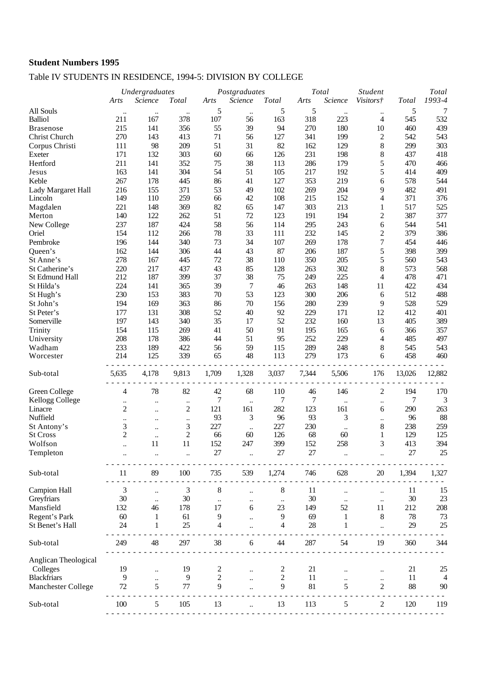## Table IV STUDENTS IN RESIDENCE, 1994-5: DIVISION BY COLLEGE

|                      |                | Undergraduates       |                      | Postgraduates |                            |                | Total  | <b>Student</b>  | Total            |              |                      |
|----------------------|----------------|----------------------|----------------------|---------------|----------------------------|----------------|--------|-----------------|------------------|--------------|----------------------|
|                      | Arts           | Science              | <b>Total</b>         | Arts          | Science                    | Total          | Arts   | Science         | Visitors†        | <b>Total</b> | 1993-4               |
| All Souls            | $\ddotsc$      | $\ddotsc$            |                      | 5             | $\ddotsc$                  | 5              | 5      | $\ddotsc$       | $\ddotsc$        | 5            | $\tau$               |
| <b>Balliol</b>       | 211            | 167                  | 378                  | 107           | 56                         | 163            | 318    | 223             | 4                | 545          | 532                  |
| <b>Brasenose</b>     | 215            | 141                  | 356                  | 55            | 39                         | 94             | 270    | 180             | 10               | 460          | 439                  |
| Christ Church        | 270            | 143                  | 413                  | 71            | 56                         | 127            | 341    | 199             | 2                | 542          | 543                  |
| Corpus Christi       | 111            | 98                   | 209                  | 51            | 31                         | 82             | 162    | 129             | $8\,$            | 299          | 303                  |
| Exeter               | 171            | 132                  | 303                  | 60            | 66                         | 126            | 231    | 198             | $8\,$            | 437          | 418                  |
| Hertford             | 211            | 141                  | 352                  | 75            | 38                         | 113            | 286    | 179             | 5                | 470          | 466                  |
| Jesus                | 163            | 141                  | 304                  | 54            | 51                         | 105            | 217    | 192             | 5                | 414          | 409                  |
| Keble                | 267            | 178                  | 445                  | 86            | 41                         | 127            | 353    | 219             | 6                | 578          | 544                  |
|                      |                |                      |                      |               |                            |                |        |                 |                  |              |                      |
| Lady Margaret Hall   | 216            | 155                  | 371                  | 53            | 49                         | 102            | 269    | 204             | 9                | 482          | 491                  |
| Lincoln              | 149            | 110                  | 259                  | 66            | 42                         | 108            | 215    | 152             | 4                | 371          | 376                  |
| Magdalen             | 221            | 148                  | 369                  | 82            | 65                         | 147            | 303    | 213             | 1                | 517          | 525                  |
| Merton               | 140            | 122                  | 262                  | 51            | 72                         | 123            | 191    | 194             | $\overline{c}$   | 387          | 377                  |
| New College          | 237            | 187                  | 424                  | 58            | 56                         | 114            | 295    | 243             | 6                | 544          | 541                  |
| Oriel                | 154            | 112                  | 266                  | 78            | 33                         | 111            | 232    | 145             | 2                | 379          | 386                  |
| Pembroke             | 196            | 144                  | 340                  | 73            | 34                         | 107            | 269    | 178             | $\boldsymbol{7}$ | 454          | 446                  |
| Queen's              | 162            | 144                  | 306                  | 44            | 43                         | 87             | 206    | 187             | 5                | 398          | 399                  |
| St Anne's            | 278            | 167                  | 445                  | 72            | 38                         | 110            | 350    | 205             | 5                | 560          | 543                  |
| St Catherine's       | 220            | 217                  | 437                  | 43            | 85                         | 128            | 263    | 302             | $8\,$            | 573          | 568                  |
| St Edmund Hall       | 212            | 187                  | 399                  | 37            | 38                         | 75             | 249    | 225             | 4                | 478          | 471                  |
| St Hilda's           | 224            | 141                  | 365                  | 39            | 7                          | 46             | 263    | 148             | 11               | 422          | 434                  |
| St Hugh's            | 230            | 153                  | 383                  | 70            | 53                         | 123            | 300    | 206             | 6                | 512          | 488                  |
| St John's            | 194            | 169                  | 363                  | 86            | 70                         | 156            | 280    | 239             | $\overline{9}$   | 528          | 529                  |
| St Peter's           | 177            | 131                  | 308                  | 52            | 40                         | 92             | 229    | 171             | 12               | 412          | 401                  |
| Somerville           | 197            | 143                  | 340                  | 35            | 17                         | 52             | 232    | 160             | 13               | 405          | 389                  |
| Trinity              | 154            | 115                  | 269                  | 41            | 50                         | 91             | 195    | 165             | 6                | 366          | 357                  |
| University           | 208            | 178                  | 386                  | 44            | 51                         | 95             | 252    | 229             | 4                | 485          | 497                  |
| Wadham               | 233            | 189                  | 422                  | 56            | 59                         | 115            | 289    | 248             | 8                | 545          | 543                  |
| Worcester            | 214            | 125                  | 339                  | 65            | 48                         | 113            | 279    | 173             | 6                | 458          | 460                  |
|                      |                |                      |                      |               |                            |                |        |                 |                  |              |                      |
| Sub-total            | 5,635          | 4,178                | 9,813                | 1,709         | 1,328                      | 3,037          | 7,344  | 5,506           | 176              | 13,026       | 12,882               |
|                      |                |                      |                      |               |                            |                |        |                 |                  |              |                      |
| Green College        | 4              | 78                   | 82                   | 42            | 68                         | 110            | 46     | 146             | $\overline{c}$   | 194          | 170                  |
| Kellogg College      | $\ddotsc$      | $\ldots$             | $\ddotsc$            | 7             | $\ddot{\phantom{a}}$       | 7              | 7      | $\ldots$        | $\ddotsc$        | 7            | 3                    |
| Linacre              | $\overline{c}$ | $\ddotsc$            | $\overline{c}$       | 121           | 161                        | 282            | 123    | 161             | 6                | 290          | 263                  |
| Nuffield             | $\ddotsc$      |                      | $\ddot{\phantom{0}}$ | 93            | 3                          | 96             | 93     | 3               | $\ddotsc$        | 96           | 88                   |
| St Antony's          | 3              |                      | 3                    | 227           |                            | 227            | 230    |                 | 8                | 238          | 259                  |
| <b>St Cross</b>      | $\overline{c}$ | $\ddotsc$            | $\overline{c}$       | 66            | $\ddot{\phantom{a}}$<br>60 | 126            | 68     | $\ddotsc$<br>60 | 1                | 129          | 125                  |
| Wolfson              |                | $\ldots$<br>11       | 11                   | 152           | 247                        | 399            | 152    | 258             | 3                | 413          | 394                  |
|                      |                |                      |                      |               |                            |                |        |                 |                  |              |                      |
| Templeton            |                |                      |                      | 27            |                            | 27             | $27\,$ |                 |                  | 27           | 25                   |
|                      | 11             | 89                   | 100                  | 735           | 539                        | 1,274          | 746    | 628             | $20\,$           | 1,394        | 1,327                |
| Sub-total            |                |                      |                      |               |                            |                |        |                 |                  |              |                      |
| <b>Campion Hall</b>  | $\mathfrak{Z}$ | $\ldots$             | 3                    | $\,$ $\,$     |                            | $\,8\,$        | 11     |                 |                  | 11           | 15                   |
| Greyfriars           | 30             | $\ddotsc$            | 30                   | $\ldots$      | $\ddotsc$                  | $\ldots$       | 30     |                 | $\ldots$         | 30           | 23                   |
| Mansfield            | 132            | 46                   | 178                  | 17            | 6                          | 23             | 149    | 52              | 11               | 212          | 208                  |
| Regent's Park        | 60             | 1                    | 61                   | 9             |                            | 9              | 69     | 1               | $8\,$            | 78           | 73                   |
| St Benet's Hall      | 24             | 1                    | 25                   | 4             |                            | 4              | 28     | 1               |                  | 29           | 25                   |
|                      |                |                      |                      |               |                            |                |        |                 |                  |              |                      |
| Sub-total            | 249            | 48                   | 297                  | 38            | 6                          | 44             | 287    | 54              | 19               | 360          | 344                  |
| Anglican Theological |                |                      |                      |               |                            |                |        |                 |                  |              |                      |
|                      | 19             |                      |                      |               |                            |                | 21     |                 |                  | 21           |                      |
| Colleges             | $\overline{9}$ | $\ddot{\phantom{a}}$ | 19                   | $\frac{2}{2}$ |                            | $\overline{c}$ |        |                 |                  |              | 25<br>$\overline{4}$ |
| <b>Blackfriars</b>   |                |                      | $\boldsymbol{9}$     |               |                            | $\overline{c}$ | 11     |                 | $\ddotsc$        | 11           |                      |
| Manchester College   | 72             | 5                    | 77                   | 9             |                            | 9              | 81     | 5               | $\overline{c}$   | 88           | 90                   |
| Sub-total            | 100            | 5                    | 105                  | 13            |                            | 13             | 113    | 5               | 2                | 120          | 119                  |
|                      |                |                      |                      |               |                            |                |        |                 |                  |              |                      |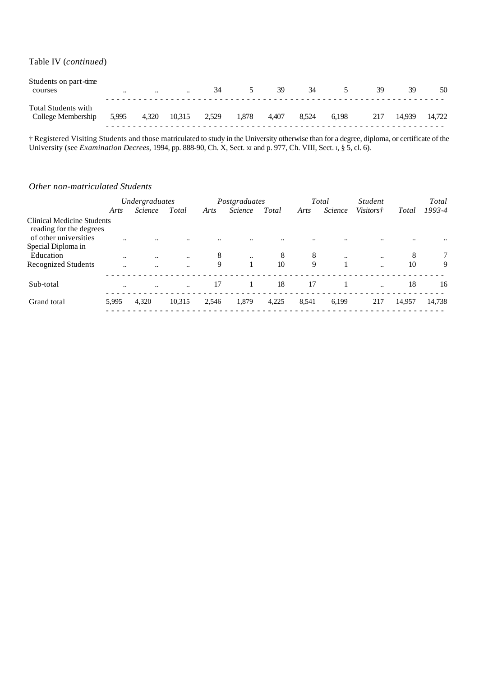Table IV (*continued*)

| Students on part-time<br>courses                 | $\cdots$ | $\cdot\cdot$ | $\ddotsc$ | 34    |       | 39    | 34    |       | 39  | 39     | 50     |
|--------------------------------------------------|----------|--------------|-----------|-------|-------|-------|-------|-------|-----|--------|--------|
| <b>Total Students with</b><br>College Membership | 5,995    | 4,320        | 10,315    | 2,529 | 1.878 | 4.407 | 8.524 | 6.198 | 217 | 14.939 | 14.722 |

† Registered Visiting Students and those matriculated to study in the University otherwise than for a degree, diploma, or certificate of the University (see *Examination Decrees,* 1994, pp. 888-90, Ch. X, Sect. XI and p. 977, Ch. VIII, Sect. I, § 5, cl. 6).

#### *Other non-matriculated Students*

|                                                       | Undergraduates       |                |                      |       | Postgraduates  |       |       | Total     | <i>Student</i>       |        | Total  |
|-------------------------------------------------------|----------------------|----------------|----------------------|-------|----------------|-------|-------|-----------|----------------------|--------|--------|
|                                                       | Arts                 | <i>Science</i> | Total                | Arts  | <i>Science</i> | Total | Arts  | Science   | <i>Visitors†</i>     | Total  | 1993-4 |
| Clinical Medicine Students<br>reading for the degrees |                      |                |                      |       |                |       |       |           |                      |        |        |
| of other universities<br>Special Diploma in           | $\ddot{\phantom{0}}$ |                | $\ddot{\phantom{0}}$ |       |                |       |       |           |                      |        |        |
| Education                                             |                      | $\ddotsc$      | $\ddotsc$            | 8     | $\ddotsc$      | 8     | 8     | $\ddotsc$ | $\ddotsc$            | 8      | 7      |
| Recognized Students                                   | $\ddot{\phantom{a}}$ | $\ddotsc$      | $\ddot{\phantom{a}}$ | 9     |                | 10    | 9     |           |                      | 10     | 9      |
| Sub-total                                             |                      | $\ddotsc$      | $\ddotsc$            | 17    |                | 18    | 17    | -1        | $\ddot{\phantom{a}}$ | 18     | 16     |
| Grand total                                           | 5,995                | 4,320          | 10.315               | 2,546 | 1,879          | 4,225 | 8,541 | 6,199     | 217                  | 14.957 | 14,738 |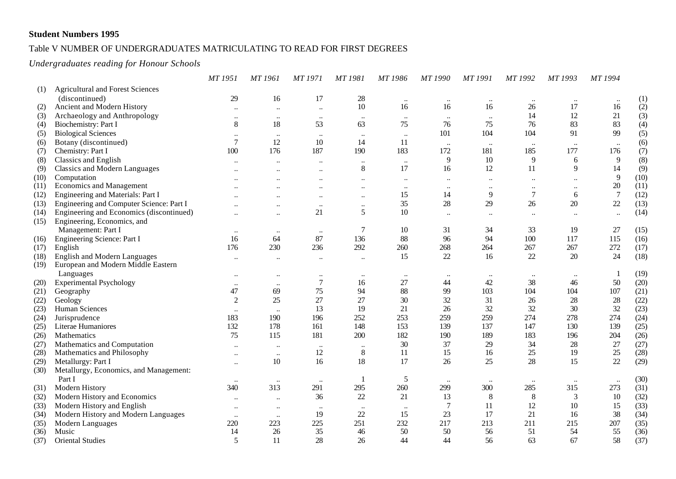#### Table V NUMBER OF UNDERGRADUATES MATRICULATING TO READ FOR FIRST DEGREES

#### *Undergraduates reading for Honour Schools*

|      |                                          | MT 1951                   | MT 1961              | MT 1971              | MT 1981                   | MT 1986   | MT 1990                   | MT 1991              | MT 1992      | MT 1993   | MT 1994        |      |
|------|------------------------------------------|---------------------------|----------------------|----------------------|---------------------------|-----------|---------------------------|----------------------|--------------|-----------|----------------|------|
| (1)  | <b>Agricultural and Forest Sciences</b>  |                           |                      |                      |                           |           |                           |                      |              |           |                |      |
|      | (discontinued)                           | 29                        | 16                   | 17                   | 28                        | $\ddotsc$ | $\cdot \cdot$             | $\ldots$             | $\ddotsc$    | $\ddotsc$ |                | (1)  |
| (2)  | Ancient and Modern History               | $\ddotsc$                 | $\ddot{\phantom{a}}$ | $\ddotsc$            | 10                        | 16        | 16                        | 16                   | 26           | 17        | 16             | (2)  |
| (3)  | Archaeology and Anthropology             | $\ddot{\phantom{0}}$      |                      | $\ddotsc$            | $\ddotsc$                 | $\ldots$  | $\ddotsc$                 | $\ddotsc$            | 14           | 12        | 21             | (3)  |
| (4)  | Biochemistry: Part I                     | 8                         | 18                   | 53                   | 63                        | 75        | 76                        | 75                   | 76           | 83        | 83             | (4)  |
| (5)  | <b>Biological Sciences</b>               | $\ddotsc$                 | $\ddotsc$            | $\ddotsc$            | $\ldots$                  | $\ddotsc$ | 101                       | 104                  | 104          | 91        | 99             | (5)  |
| (6)  | Botany (discontinued)                    | $\overline{7}$            | 12                   | 10                   | 14                        | 11        |                           |                      | $\ddotsc$    |           | $\ldots$       | (6)  |
| (7)  | Chemistry: Part I                        | 100                       | 176                  | 187                  | 190                       | 183       | 172                       | 181                  | 185          | 177       | 176            | (7)  |
| (8)  | <b>Classics and English</b>              |                           |                      | $\ddot{\phantom{0}}$ | $\ddotsc$                 | $\ldots$  | 9                         | 10                   | 9            | 6         | $\overline{9}$ | (8)  |
| (9)  | <b>Classics and Modern Languages</b>     | $\ddot{\phantom{a}}$      | $\ddot{\phantom{a}}$ | $\ddot{\phantom{0}}$ | $8\,$                     | 17        | 16                        | 12                   | 11           | 9         | 14             | (9)  |
| (10) | Computation                              |                           |                      | $\ddotsc$            | $\ddot{\phantom{0}}\cdot$ | $\ldots$  | $\ddot{\phantom{0}}$      |                      | $\ddotsc$    | $\ddotsc$ | $\overline{9}$ | (10) |
| (11) | Economics and Management                 |                           |                      | $\ddot{\phantom{0}}$ | $\ddotsc$                 | $\ldots$  | $\ddot{\phantom{0}}$      | $\ddotsc$            | $\ddotsc$    | $\ddotsc$ | $20\,$         | (11) |
| (12) | Engineering and Materials: Part I        |                           |                      | $\ddot{\phantom{0}}$ | $\ddotsc$                 | 15        | 14                        | 9                    | $\tau$       | 6         | $\overline{7}$ | (12) |
| (13) | Engineering and Computer Science: Part I |                           | $\ddotsc$            | $\ddotsc$            | $\ldots$                  | 35        | 28                        | 29                   | 26           | 20        | $22\,$         | (13) |
| (14) | Engineering and Economics (discontinued) |                           | $\ddotsc$            | 21                   | $\sqrt{5}$                | 10        | $\ddot{\phantom{0}}\cdot$ | $\ddot{\phantom{0}}$ | $\ddotsc$    | $\ddotsc$ | $\ddotsc$      | (14) |
| (15) | Engineering, Economics, and              |                           |                      |                      |                           |           |                           |                      |              |           |                |      |
|      | Management: Part I                       | $\ddot{\phantom{0}}\cdot$ | $\ddot{\phantom{0}}$ | $\ddotsc$            | $\tau$                    | 10        | 31                        | 34                   | 33           | 19        | 27             | (15) |
| (16) | Engineering Science: Part I              | 16                        | 64                   | 87                   | 136                       | 88        | 96                        | 94                   | 100          | 117       | 115            | (16) |
| (17) | English                                  | 176                       | 230                  | 236                  | 292                       | 260       | 268                       | 264                  | 267          | 267       | 272            | (17) |
| (18) | <b>English and Modern Languages</b>      | $\ddot{\phantom{a}}$      | $\ddot{\phantom{a}}$ | $\ddotsc$            | $\ddotsc$                 | 15        | 22                        | 16                   | 22           | 20        | 24             | (18) |
| (19) | European and Modern Middle Eastern       |                           |                      |                      |                           |           |                           |                      |              |           |                |      |
|      | Languages                                | $\ddot{\phantom{a}}$      | $\ddot{\phantom{a}}$ | $\ddot{\phantom{0}}$ | $\ldots$                  | $\cdots$  | $\ddotsc$                 | $\ddotsc$            | $\ldots$     | $\ddotsc$ | -1             | (19) |
| (20) | <b>Experimental Psychology</b>           | $\ddotsc$                 | $\ddotsc$            | $\boldsymbol{7}$     | 16                        | 27        | 44                        | 42                   | 38           | 46        | 50             | (20) |
| (21) | Geography                                | 47                        | 69                   | 75                   | 94                        | 88        | 99                        | 103                  | 104          | 104       | 107            | (21) |
| (22) | Geology                                  | $\overline{2}$            | 25                   | 27                   | 27                        | 30        | 32                        | 31                   | 26           | 28        | 28             | (22) |
| (23) | Human Sciences                           | $\ddotsc$                 |                      | 13                   | 19                        | 21        | 26                        | 32                   | 32           | 30        | 32             | (23) |
| (24) | Jurisprudence                            | 183                       | 190                  | 196                  | 252                       | 253       | 259                       | 259                  | 274          | 278       | 274            | (24) |
| (25) | Literae Humaniores                       | 132                       | 178                  | 161                  | 148                       | 153       | 139                       | 137                  | 147          | 130       | 139            | (25) |
| (26) | Mathematics                              | 75                        | 115                  | 181                  | 200                       | 182       | 190                       | 189                  | 183          | 196       | 204            | (26) |
| (27) | Mathematics and Computation              | $\ddotsc$                 | $\ddotsc$            | $\ldots$             | $\ddotsc$                 | 30        | 37                        | 29                   | 34           | 28        | 27             | (27) |
| (28) | Mathematics and Philosophy               | $\ddot{\phantom{0}}\cdot$ | $\ddotsc$            | 12                   | $\,8\,$                   | 11        | 15                        | 16                   | 25           | 19        | 25             | (28) |
| (29) | Metallurgy: Part I                       | $\ddot{\phantom{0}}\cdot$ | 10                   | 16                   | $18\,$                    | 17        | 26                        | 25                   | 28           | 15        | 22             | (29) |
| (30) | Metallurgy, Economics, and Management:   |                           |                      |                      |                           |           |                           |                      |              |           |                |      |
|      | Part I                                   |                           | $\ddotsc$            | $\ddotsc$            | $\overline{1}$            | 5         | $\ddotsc$                 |                      | $\cdot\cdot$ | $\ddotsc$ | $\ddotsc$      | (30) |
| (31) | Modern History                           | 340                       | 313                  | 291                  | 295                       | 260       | 299                       | 300                  | 285          | 315       | 273            | (31) |
| (32) | Modern History and Economics             |                           | $\ddotsc$            | 36                   | 22                        | 21        | 13                        | $8\phantom{1}$       | $\,8\,$      | 3         | 10             | (32) |
| (33) | Modern History and English               | $\ddot{\phantom{a}}$      | $\ddot{\phantom{a}}$ | $\ddotsc$            | $\ddots$                  | $\ddotsc$ | 7                         | <sup>11</sup>        | 12           | 10        | 15             | (33) |
| (34) | Modern History and Modern Languages      |                           |                      | 19                   | 22                        | 15        | 23                        | 17                   | 21           | 16        | 38             | (34) |
| (35) | Modern Languages                         | 220                       | 223                  | 225                  | 251                       | 232       | 217                       | 213                  | 211          | 215       | 207            | (35) |
| (36) | Music                                    | 14                        | 26                   | 35                   | 46                        | 50        | 50                        | 56                   | 51           | 54        | 55             | (36) |
| (37) | <b>Oriental Studies</b>                  | 5                         | 11                   | 28                   | 26                        | 44        | 44                        | 56                   | 63           | 67        | 58             | (37) |